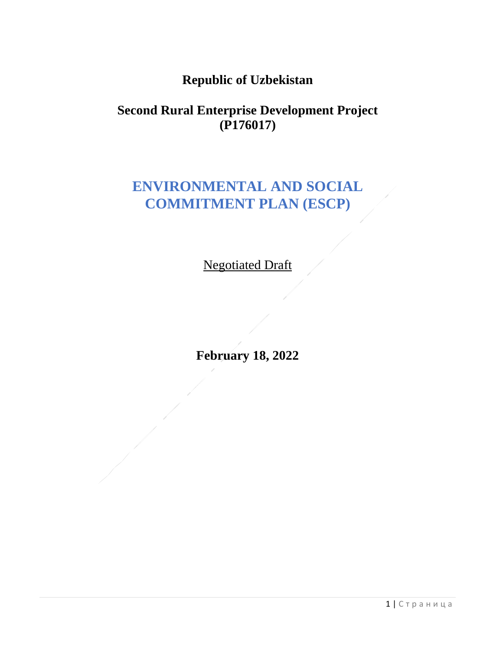## **Republic of Uzbekistan**

### **Second Rural Enterprise Development Project (P176017)**

# **ENVIRONMENTAL AND SOCIAL COMMITMENT PLAN (ESCP)**

Negotiated Draft

**February 18, 2022**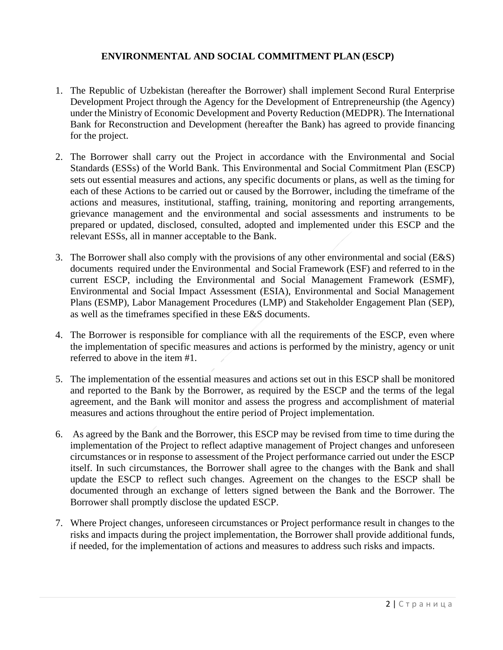### **ENVIRONMENTAL AND SOCIAL COMMITMENT PLAN (ESCP)**

- 1. The Republic of Uzbekistan (hereafter the Borrower) shall implement Second Rural Enterprise Development Project through the Agency for the Development of Entrepreneurship (the Agency) under the Ministry of Economic Development and Poverty Reduction (MEDPR). The International Bank for Reconstruction and Development (hereafter the Bank) has agreed to provide financing for the project.
- 2. The Borrower shall carry out the Project in accordance with the Environmental and Social Standards (ESSs) of the World Bank. This Environmental and Social Commitment Plan (ESCP) sets out essential measures and actions, any specific documents or plans, as well as the timing for each of these Actions to be carried out or caused by the Borrower, including the timeframe of the actions and measures, institutional, staffing, training, monitoring and reporting arrangements, grievance management and the environmental and social assessments and instruments to be prepared or updated, disclosed, consulted, adopted and implemented under this ESCP and the relevant ESSs, all in manner acceptable to the Bank.
- 3. The Borrower shall also comply with the provisions of any other environmental and social (E&S) documents required under the Environmental and Social Framework (ESF) and referred to in the current ESCP, including the Environmental and Social Management Framework (ESMF), Environmental and Social Impact Assessment (ESIA), Environmental and Social Management Plans (ESMP), Labor Management Procedures (LMP) and Stakeholder Engagement Plan (SEP), as well as the timeframes specified in these E&S documents.
- 4. The Borrower is responsible for compliance with all the requirements of the ESCP, even where the implementation of specific measures and actions is performed by the ministry, agency or unit referred to above in the item #1.
- 5. The implementation of the essential measures and actions set out in this ESCP shall be monitored and reported to the Bank by the Borrower, as required by the ESCP and the terms of the legal agreement, and the Bank will monitor and assess the progress and accomplishment of material measures and actions throughout the entire period of Project implementation.
- 6. As agreed by the Bank and the Borrower, this ESCP may be revised from time to time during the implementation of the Project to reflect adaptive management of Project changes and unforeseen circumstances or in response to assessment of the Project performance carried out under the ESCP itself. In such circumstances, the Borrower shall agree to the changes with the Bank and shall update the ESCP to reflect such changes. Agreement on the changes to the ESCP shall be documented through an exchange of letters signed between the Bank and the Borrower. The Borrower shall promptly disclose the updated ESCP.
- 7. Where Project changes, unforeseen circumstances or Project performance result in changes to the risks and impacts during the project implementation, the Borrower shall provide additional funds, if needed, for the implementation of actions and measures to address such risks and impacts.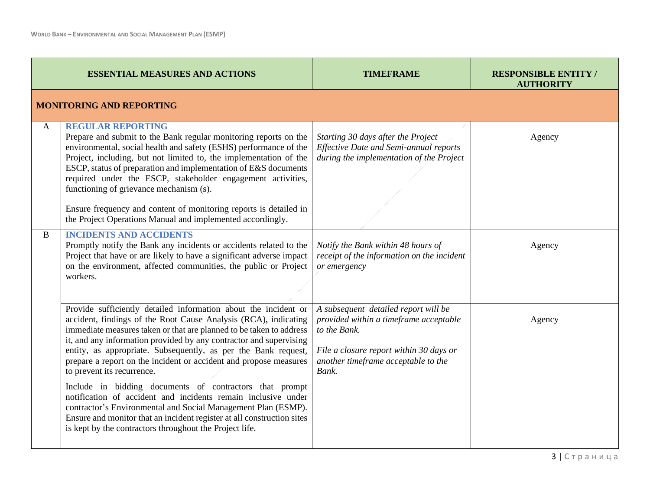|   | <b>ESSENTIAL MEASURES AND ACTIONS</b>                                                                                                                                                                                                                                                                                                                                                                                                                                                                                                                                                                                                                                                                                                                                                  | <b>TIMEFRAME</b>                                                                                                                                                                          | <b>RESPONSIBLE ENTITY/</b><br><b>AUTHORITY</b> |
|---|----------------------------------------------------------------------------------------------------------------------------------------------------------------------------------------------------------------------------------------------------------------------------------------------------------------------------------------------------------------------------------------------------------------------------------------------------------------------------------------------------------------------------------------------------------------------------------------------------------------------------------------------------------------------------------------------------------------------------------------------------------------------------------------|-------------------------------------------------------------------------------------------------------------------------------------------------------------------------------------------|------------------------------------------------|
|   | <b>MONITORING AND REPORTING</b>                                                                                                                                                                                                                                                                                                                                                                                                                                                                                                                                                                                                                                                                                                                                                        |                                                                                                                                                                                           |                                                |
| A | <b>REGULAR REPORTING</b><br>Prepare and submit to the Bank regular monitoring reports on the<br>environmental, social health and safety (ESHS) performance of the<br>Project, including, but not limited to, the implementation of the<br>ESCP, status of preparation and implementation of E&S documents<br>required under the ESCP, stakeholder engagement activities,<br>functioning of grievance mechanism (s).<br>Ensure frequency and content of monitoring reports is detailed in<br>the Project Operations Manual and implemented accordingly.                                                                                                                                                                                                                                 | Starting 30 days after the Project<br>Effective Date and Semi-annual reports<br>during the implementation of the Project                                                                  | Agency                                         |
| B | <b>INCIDENTS AND ACCIDENTS</b><br>Promptly notify the Bank any incidents or accidents related to the<br>Project that have or are likely to have a significant adverse impact<br>on the environment, affected communities, the public or Project<br>workers.                                                                                                                                                                                                                                                                                                                                                                                                                                                                                                                            | Notify the Bank within 48 hours of<br>receipt of the information on the incident<br>or emergency                                                                                          | Agency                                         |
|   | Provide sufficiently detailed information about the incident or<br>accident, findings of the Root Cause Analysis (RCA), indicating<br>immediate measures taken or that are planned to be taken to address<br>it, and any information provided by any contractor and supervising<br>entity, as appropriate. Subsequently, as per the Bank request,<br>prepare a report on the incident or accident and propose measures<br>to prevent its recurrence.<br>Include in bidding documents of contractors that prompt<br>notification of accident and incidents remain inclusive under<br>contractor's Environmental and Social Management Plan (ESMP).<br>Ensure and monitor that an incident register at all construction sites<br>is kept by the contractors throughout the Project life. | A subsequent detailed report will be<br>provided within a timeframe acceptable<br>to the Bank.<br>File a closure report within 30 days or<br>another timeframe acceptable to the<br>Bank. | Agency                                         |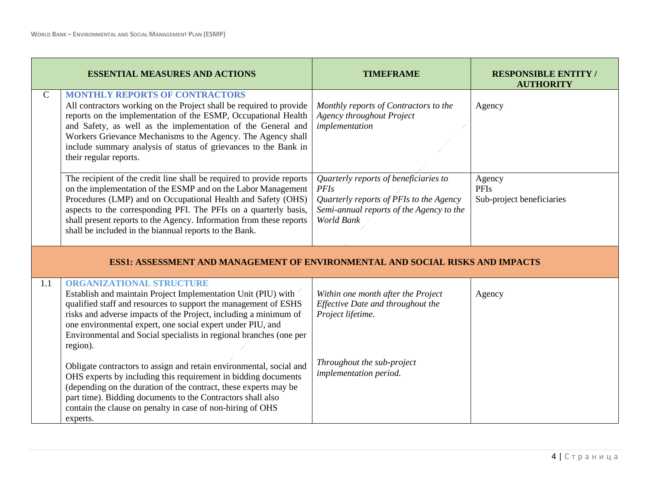|               | <b>ESSENTIAL MEASURES AND ACTIONS</b>                                                                                                                                                                                                                                                                                                                                                                       | <b>TIMEFRAME</b>                                                                                                                                          | <b>RESPONSIBLE ENTITY/</b><br><b>AUTHORITY</b>     |
|---------------|-------------------------------------------------------------------------------------------------------------------------------------------------------------------------------------------------------------------------------------------------------------------------------------------------------------------------------------------------------------------------------------------------------------|-----------------------------------------------------------------------------------------------------------------------------------------------------------|----------------------------------------------------|
| $\mathcal{C}$ | <b>MONTHLY REPORTS OF CONTRACTORS</b><br>All contractors working on the Project shall be required to provide<br>reports on the implementation of the ESMP, Occupational Health<br>and Safety, as well as the implementation of the General and<br>Workers Grievance Mechanisms to the Agency. The Agency shall<br>include summary analysis of status of grievances to the Bank in<br>their regular reports. | Monthly reports of Contractors to the<br><b>Agency throughout Project</b><br>implementation                                                               | Agency                                             |
|               | The recipient of the credit line shall be required to provide reports<br>on the implementation of the ESMP and on the Labor Management<br>Procedures (LMP) and on Occupational Health and Safety (OHS)<br>aspects to the corresponding PFI. The PFIs on a quarterly basis,<br>shall present reports to the Agency. Information from these reports<br>shall be included in the biannual reports to the Bank. | Quarterly reports of beneficiaries to<br><b>PFIs</b><br>Quarterly reports of PFIs to the Agency<br>Semi-annual reports of the Agency to the<br>World Bank | Agency<br><b>PFIs</b><br>Sub-project beneficiaries |
|               | ESS1: ASSESSMENT AND MANAGEMENT OF ENVIRONMENTAL AND SOCIAL RISKS AND IMPACTS                                                                                                                                                                                                                                                                                                                               |                                                                                                                                                           |                                                    |
| 1.1           | <b>ORGANIZATIONAL STRUCTURE</b><br>Establish and maintain Project Implementation Unit (PIU) with<br>qualified staff and resources to support the management of ESHS<br>risks and adverse impacts of the Project, including a minimum of<br>one environmental expert, one social expert under PIU, and<br>Environmental and Social specialists in regional branches (one per<br>region).                     | Within one month after the Project<br>Effective Date and throughout the<br>Project lifetime.                                                              | Agency                                             |
|               | Obligate contractors to assign and retain environmental, social and<br>OHS experts by including this requirement in bidding documents<br>(depending on the duration of the contract, these experts may be<br>part time). Bidding documents to the Contractors shall also<br>contain the clause on penalty in case of non-hiring of OHS<br>experts.                                                          | Throughout the sub-project<br>implementation period.                                                                                                      |                                                    |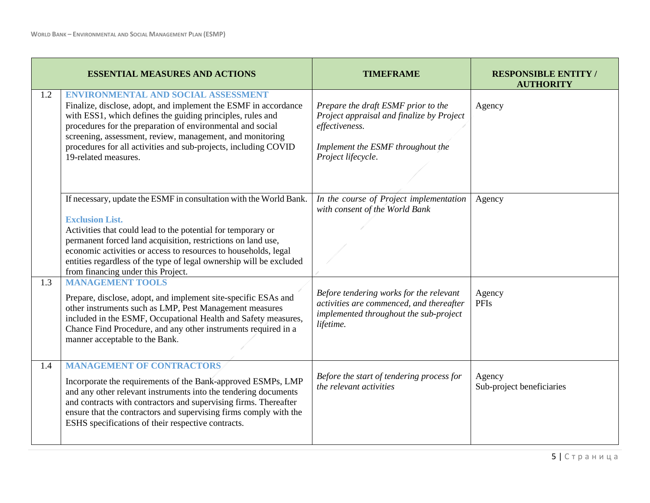|     | <b>ESSENTIAL MEASURES AND ACTIONS</b>                                                                                                                                                                                                                                                                                                                                                                        | <b>TIMEFRAME</b>                                                                                                                                              | <b>RESPONSIBLE ENTITY</b><br><b>AUTHORITY</b> |
|-----|--------------------------------------------------------------------------------------------------------------------------------------------------------------------------------------------------------------------------------------------------------------------------------------------------------------------------------------------------------------------------------------------------------------|---------------------------------------------------------------------------------------------------------------------------------------------------------------|-----------------------------------------------|
| 1.2 | <b>ENVIRONMENTAL AND SOCIAL ASSESSMENT</b><br>Finalize, disclose, adopt, and implement the ESMF in accordance<br>with ESS1, which defines the guiding principles, rules and<br>procedures for the preparation of environmental and social<br>screening, assessment, review, management, and monitoring<br>procedures for all activities and sub-projects, including COVID<br>19-related measures.            | Prepare the draft ESMF prior to the<br>Project appraisal and finalize by Project<br>effectiveness.<br>Implement the ESMF throughout the<br>Project lifecycle. | Agency                                        |
|     | If necessary, update the ESMF in consultation with the World Bank.<br><b>Exclusion List.</b><br>Activities that could lead to the potential for temporary or<br>permanent forced land acquisition, restrictions on land use,<br>economic activities or access to resources to households, legal<br>entities regardless of the type of legal ownership will be excluded<br>from financing under this Project. | In the course of Project implementation<br>with consent of the World Bank                                                                                     | Agency                                        |
| 1.3 | <b>MANAGEMENT TOOLS</b><br>Prepare, disclose, adopt, and implement site-specific ESAs and<br>other instruments such as LMP, Pest Management measures<br>included in the ESMF, Occupational Health and Safety measures,<br>Chance Find Procedure, and any other instruments required in a<br>manner acceptable to the Bank.                                                                                   | Before tendering works for the relevant<br>activities are commenced, and thereafter<br>implemented throughout the sub-project<br>lifetime.                    | Agency<br><b>PFIs</b>                         |
| 1.4 | <b>MANAGEMENT OF CONTRACTORS</b><br>Incorporate the requirements of the Bank-approved ESMPs, LMP<br>and any other relevant instruments into the tendering documents<br>and contracts with contractors and supervising firms. Thereafter<br>ensure that the contractors and supervising firms comply with the<br>ESHS specifications of their respective contracts.                                           | Before the start of tendering process for<br>the relevant activities                                                                                          | Agency<br>Sub-project beneficiaries           |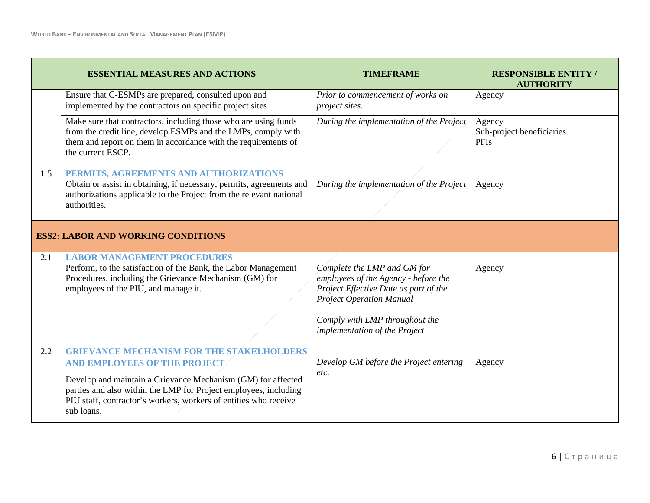|     | <b>ESSENTIAL MEASURES AND ACTIONS</b>                                                                                                                                                                                                                                                                  | <b>TIMEFRAME</b>                                                                                                                                                                                                   | <b>RESPONSIBLE ENTITY</b><br><b>AUTHORITY</b>      |  |
|-----|--------------------------------------------------------------------------------------------------------------------------------------------------------------------------------------------------------------------------------------------------------------------------------------------------------|--------------------------------------------------------------------------------------------------------------------------------------------------------------------------------------------------------------------|----------------------------------------------------|--|
|     | Ensure that C-ESMPs are prepared, consulted upon and<br>implemented by the contractors on specific project sites                                                                                                                                                                                       | Prior to commencement of works on<br>project sites.                                                                                                                                                                | Agency                                             |  |
|     | Make sure that contractors, including those who are using funds<br>from the credit line, develop ESMPs and the LMPs, comply with<br>them and report on them in accordance with the requirements of<br>the current ESCP.                                                                                | During the implementation of the Project                                                                                                                                                                           | Agency<br>Sub-project beneficiaries<br><b>PFIs</b> |  |
| 1.5 | PERMITS, AGREEMENTS AND AUTHORIZATIONS<br>Obtain or assist in obtaining, if necessary, permits, agreements and<br>authorizations applicable to the Project from the relevant national<br>authorities.                                                                                                  | During the implementation of the Project                                                                                                                                                                           | Agency                                             |  |
|     | <b>ESS2: LABOR AND WORKING CONDITIONS</b>                                                                                                                                                                                                                                                              |                                                                                                                                                                                                                    |                                                    |  |
| 2.1 | <b>LABOR MANAGEMENT PROCEDURES</b><br>Perform, to the satisfaction of the Bank, the Labor Management<br>Procedures, including the Grievance Mechanism (GM) for<br>employees of the PIU, and manage it.                                                                                                 | Complete the LMP and GM for<br>employees of the Agency - before the<br>Project Effective Date as part of the<br><b>Project Operation Manual</b><br>Comply with LMP throughout the<br>implementation of the Project | Agency                                             |  |
| 2.2 | <b>GRIEVANCE MECHANISM FOR THE STAKELHOLDERS</b><br>AND EMPLOYEES OF THE PROJECT<br>Develop and maintain a Grievance Mechanism (GM) for affected<br>parties and also within the LMP for Project employees, including<br>PIU staff, contractor's workers, workers of entities who receive<br>sub loans. | Develop GM before the Project entering<br>etc.                                                                                                                                                                     | Agency                                             |  |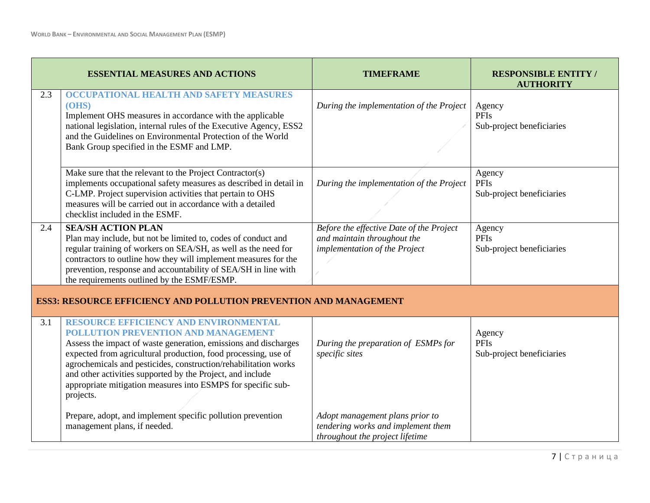|     | <b>ESSENTIAL MEASURES AND ACTIONS</b>                                                                                                                                                                                                                                                                                                                                                                                                  | <b>TIMEFRAME</b>                                                                                         | <b>RESPONSIBLE ENTITY /</b><br><b>AUTHORITY</b>    |
|-----|----------------------------------------------------------------------------------------------------------------------------------------------------------------------------------------------------------------------------------------------------------------------------------------------------------------------------------------------------------------------------------------------------------------------------------------|----------------------------------------------------------------------------------------------------------|----------------------------------------------------|
| 2.3 | OCCUPATIONAL HEALTH AND SAFETY MEASURES<br>(OHS)<br>Implement OHS measures in accordance with the applicable<br>national legislation, internal rules of the Executive Agency, ESS2<br>and the Guidelines on Environmental Protection of the World<br>Bank Group specified in the ESMF and LMP.                                                                                                                                         | During the implementation of the Project                                                                 | Agency<br><b>PFIs</b><br>Sub-project beneficiaries |
|     | Make sure that the relevant to the Project Contractor(s)<br>implements occupational safety measures as described in detail in<br>C-LMP. Project supervision activities that pertain to OHS<br>measures will be carried out in accordance with a detailed<br>checklist included in the ESMF.                                                                                                                                            | During the implementation of the Project                                                                 | Agency<br><b>PFIs</b><br>Sub-project beneficiaries |
| 2.4 | <b>SEA/SH ACTION PLAN</b><br>Plan may include, but not be limited to, codes of conduct and<br>regular training of workers on SEA/SH, as well as the need for<br>contractors to outline how they will implement measures for the<br>prevention, response and accountability of SEA/SH in line with<br>the requirements outlined by the ESMF/ESMP.                                                                                       | Before the effective Date of the Project<br>and maintain throughout the<br>implementation of the Project | Agency<br><b>PFIs</b><br>Sub-project beneficiaries |
|     | <b>ESS3: RESOURCE EFFICIENCY AND POLLUTION PREVENTION AND MANAGEMENT</b>                                                                                                                                                                                                                                                                                                                                                               |                                                                                                          |                                                    |
| 3.1 | RESOURCE EFFICIENCY AND ENVIRONMENTAL<br><b>POLLUTION PREVENTION AND MANAGEMENT</b><br>Assess the impact of waste generation, emissions and discharges<br>expected from agricultural production, food processing, use of<br>agrochemicals and pesticides, construction/rehabilitation works<br>and other activities supported by the Project, and include<br>appropriate mitigation measures into ESMPS for specific sub-<br>projects. | During the preparation of ESMPs for<br>specific sites                                                    | Agency<br><b>PFIs</b><br>Sub-project beneficiaries |
|     | Prepare, adopt, and implement specific pollution prevention<br>management plans, if needed.                                                                                                                                                                                                                                                                                                                                            | Adopt management plans prior to<br>tendering works and implement them<br>throughout the project lifetime |                                                    |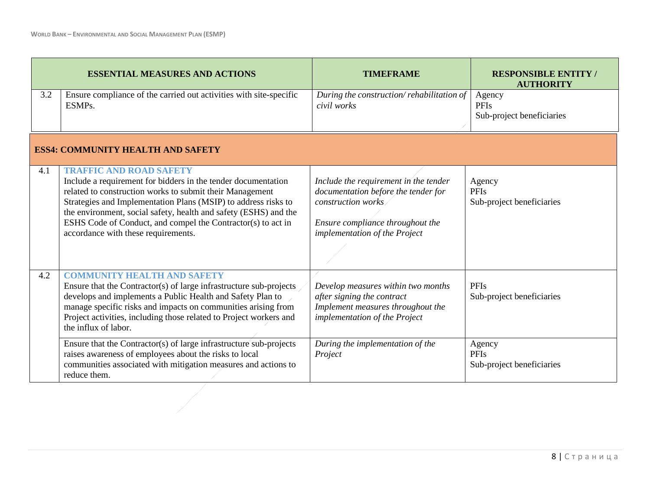|     | <b>ESSENTIAL MEASURES AND ACTIONS</b>                                                                                                                                                                                                                                                                                                                                                                    | <b>TIMEFRAME</b>                                                                                                                                                        | <b>RESPONSIBLE ENTITY</b><br><b>AUTHORITY</b>      |
|-----|----------------------------------------------------------------------------------------------------------------------------------------------------------------------------------------------------------------------------------------------------------------------------------------------------------------------------------------------------------------------------------------------------------|-------------------------------------------------------------------------------------------------------------------------------------------------------------------------|----------------------------------------------------|
| 3.2 | Ensure compliance of the carried out activities with site-specific<br>ESMP <sub>s</sub> .                                                                                                                                                                                                                                                                                                                | During the construction/rehabilitation of<br>civil works                                                                                                                | Agency<br><b>PFIs</b><br>Sub-project beneficiaries |
|     | <b>ESS4: COMMUNITY HEALTH AND SAFETY</b>                                                                                                                                                                                                                                                                                                                                                                 |                                                                                                                                                                         |                                                    |
| 4.1 | <b>TRAFFIC AND ROAD SAFETY</b><br>Include a requirement for bidders in the tender documentation<br>related to construction works to submit their Management<br>Strategies and Implementation Plans (MSIP) to address risks to<br>the environment, social safety, health and safety (ESHS) and the<br>ESHS Code of Conduct, and compel the Contractor(s) to act in<br>accordance with these requirements. | Include the requirement in the tender<br>documentation before the tender for<br>construction works<br>Ensure compliance throughout the<br>implementation of the Project | Agency<br><b>PFIs</b><br>Sub-project beneficiaries |
| 4.2 | <b>COMMUNITY HEALTH AND SAFETY</b><br>Ensure that the Contractor(s) of large infrastructure sub-projects<br>develops and implements a Public Health and Safety Plan to<br>manage specific risks and impacts on communities arising from<br>Project activities, including those related to Project workers and<br>the influx of labor.                                                                    | Develop measures within two months<br>after signing the contract<br>Implement measures throughout the<br>implementation of the Project                                  | <b>PFIs</b><br>Sub-project beneficiaries           |
|     | Ensure that the Contractor(s) of large infrastructure sub-projects<br>raises awareness of employees about the risks to local<br>communities associated with mitigation measures and actions to<br>reduce them.                                                                                                                                                                                           | During the implementation of the<br>Project                                                                                                                             | Agency<br><b>PFIs</b><br>Sub-project beneficiaries |
|     |                                                                                                                                                                                                                                                                                                                                                                                                          |                                                                                                                                                                         |                                                    |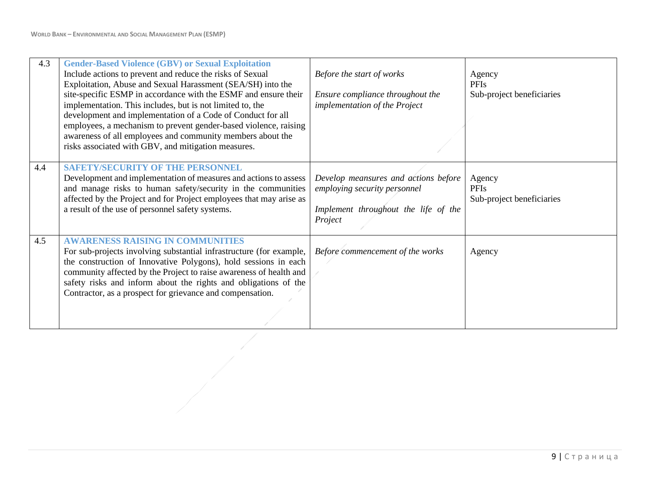| 4.3 | <b>Gender-Based Violence (GBV) or Sexual Exploitation</b><br>Include actions to prevent and reduce the risks of Sexual<br>Exploitation, Abuse and Sexual Harassment (SEA/SH) into the<br>site-specific ESMP in accordance with the ESMF and ensure their<br>implementation. This includes, but is not limited to, the<br>development and implementation of a Code of Conduct for all<br>employees, a mechanism to prevent gender-based violence, raising<br>awareness of all employees and community members about the<br>risks associated with GBV, and mitigation measures. | Before the start of works<br>Ensure compliance throughout the<br>implementation of the Project                          | Agency<br><b>PFIs</b><br>Sub-project beneficiaries |
|-----|-------------------------------------------------------------------------------------------------------------------------------------------------------------------------------------------------------------------------------------------------------------------------------------------------------------------------------------------------------------------------------------------------------------------------------------------------------------------------------------------------------------------------------------------------------------------------------|-------------------------------------------------------------------------------------------------------------------------|----------------------------------------------------|
| 4.4 | <b>SAFETY/SECURITY OF THE PERSONNEL</b><br>Development and implementation of measures and actions to assess<br>and manage risks to human safety/security in the communities<br>affected by the Project and for Project employees that may arise as<br>a result of the use of personnel safety systems.                                                                                                                                                                                                                                                                        | Develop meansures and actions before<br>employing security personnel<br>Implement throughout the life of the<br>Project | Agency<br><b>PFIs</b><br>Sub-project beneficiaries |
| 4.5 | <b>AWARENESS RAISING IN COMMUNITIES</b><br>For sub-projects involving substantial infrastructure (for example,<br>the construction of Innovative Polygons), hold sessions in each<br>community affected by the Project to raise awareness of health and<br>safety risks and inform about the rights and obligations of the<br>Contractor, as a prospect for grievance and compensation.                                                                                                                                                                                       | Before commencement of the works                                                                                        | Agency                                             |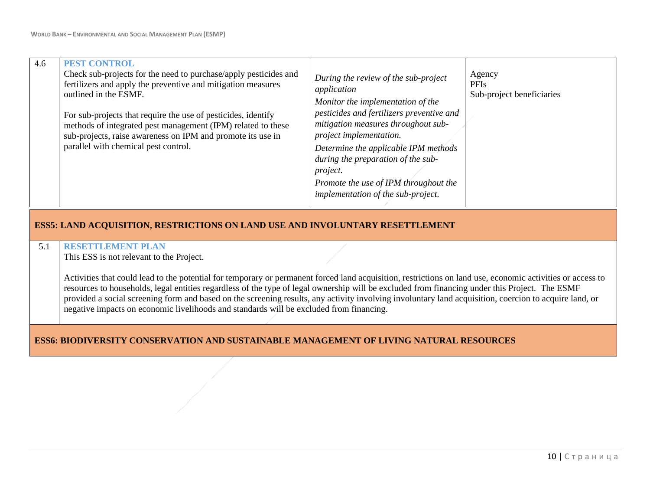| 4.6 | <b>PEST CONTROL</b><br>Check sub-projects for the need to purchase/apply pesticides and<br>fertilizers and apply the preventive and mitigation measures<br>outlined in the ESMF.<br>For sub-projects that require the use of pesticides, identify<br>methods of integrated pest management (IPM) related to these<br>sub-projects, raise awareness on IPM and promote its use in<br>parallel with chemical pest control.                                                                                                                                          | During the review of the sub-project<br>application<br>Monitor the implementation of the<br>pesticides and fertilizers preventive and<br>mitigation measures throughout sub-<br>project implementation.<br>Determine the applicable IPM methods<br>during the preparation of the sub-<br>project.<br>Promote the use of IPM throughout the<br>implementation of the sub-project. | Agency<br><b>PFIs</b><br>Sub-project beneficiaries |
|-----|-------------------------------------------------------------------------------------------------------------------------------------------------------------------------------------------------------------------------------------------------------------------------------------------------------------------------------------------------------------------------------------------------------------------------------------------------------------------------------------------------------------------------------------------------------------------|----------------------------------------------------------------------------------------------------------------------------------------------------------------------------------------------------------------------------------------------------------------------------------------------------------------------------------------------------------------------------------|----------------------------------------------------|
|     | <b>ESS5: LAND ACQUISITION, RESTRICTIONS ON LAND USE AND INVOLUNTARY RESETTLEMENT</b>                                                                                                                                                                                                                                                                                                                                                                                                                                                                              |                                                                                                                                                                                                                                                                                                                                                                                  |                                                    |
| 5.1 | <b>RESETTLEMENT PLAN</b><br>This ESS is not relevant to the Project.                                                                                                                                                                                                                                                                                                                                                                                                                                                                                              |                                                                                                                                                                                                                                                                                                                                                                                  |                                                    |
|     | Activities that could lead to the potential for temporary or permanent forced land acquisition, restrictions on land use, economic activities or access to<br>resources to households, legal entities regardless of the type of legal ownership will be excluded from financing under this Project. The ESMF<br>provided a social screening form and based on the screening results, any activity involving involuntary land acquisition, coercion to acquire land, or<br>negative impacts on economic livelihoods and standards will be excluded from financing. |                                                                                                                                                                                                                                                                                                                                                                                  |                                                    |

### **ESS6: BIODIVERSITY CONSERVATION AND SUSTAINABLE MANAGEMENT OF LIVING NATURAL RESOURCES**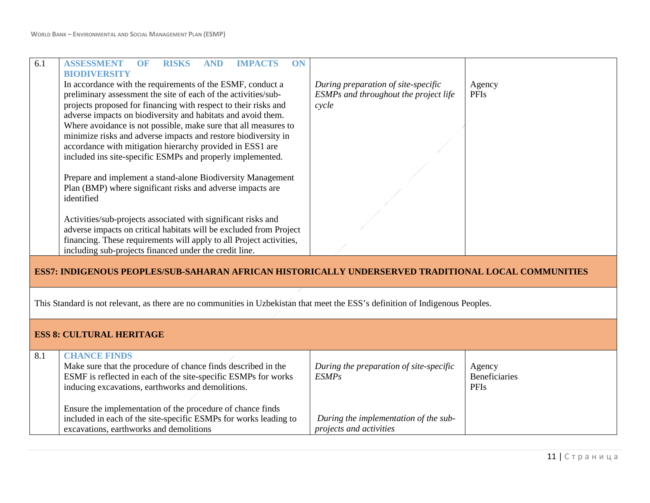| 6.1 | <b>ISSESSMEN</b><br>ON<br>RISKS<br><b>IMPACTS</b>                                                   |                                       |        |
|-----|-----------------------------------------------------------------------------------------------------|---------------------------------------|--------|
|     | <b>BIODIVERSITY</b>                                                                                 |                                       |        |
|     | In accordance with the requirements of the ESMF, conduct a                                          | During preparation of site-specific   | Agency |
|     | preliminary assessment the site of each of the activities/sub-                                      | ESMPs and throughout the project life | PFIs   |
|     | projects proposed for financing with respect to their risks and                                     | cycle                                 |        |
|     | adverse impacts on biodiversity and habitats and avoid them.                                        |                                       |        |
|     | Where avoidance is not possible, make sure that all measures to                                     |                                       |        |
|     | minimize risks and adverse impacts and restore biodiversity in                                      |                                       |        |
|     | accordance with mitigation hierarchy provided in ESS1 are                                           |                                       |        |
|     | included ins site-specific ESMPs and properly implemented.                                          |                                       |        |
|     |                                                                                                     |                                       |        |
|     | Prepare and implement a stand-alone Biodiversity Management                                         |                                       |        |
|     | Plan (BMP) where significant risks and adverse impacts are                                          |                                       |        |
|     | identified                                                                                          |                                       |        |
|     |                                                                                                     |                                       |        |
|     | Activities/sub-projects associated with significant risks and                                       |                                       |        |
|     | adverse impacts on critical habitats will be excluded from Project                                  |                                       |        |
|     | financing. These requirements will apply to all Project activities,                                 |                                       |        |
|     | including sub-projects financed under the credit line.                                              |                                       |        |
|     |                                                                                                     |                                       |        |
|     | ESS7: INDIGENOUS PEOPLES/SUB-SAHARAN AFRICAN HISTORICALLY UNDERSERVED TRADITIONAL LOCAL COMMUNITIES |                                       |        |
|     |                                                                                                     |                                       |        |
|     |                                                                                                     |                                       |        |
|     |                                                                                                     |                                       |        |

This Standard is not relevant, as there are no communities in Uzbekistan that meet the ESS's definition of Indigenous Peoples.

| <b>ESS 8: CULTURAL HERITAGE</b> |                                                                                                                     |                                                                  |                                     |  |
|---------------------------------|---------------------------------------------------------------------------------------------------------------------|------------------------------------------------------------------|-------------------------------------|--|
| 8.1                             | <b>CHANCE FINDS</b><br>Make sure that the procedure of chance finds described in the                                | During the preparation of site-specific                          | Agency                              |  |
|                                 | ESMF is reflected in each of the site-specific ESMPs for works<br>inducing excavations, earthworks and demolitions. | <i>ESMPs</i>                                                     | <b>Beneficiaries</b><br><b>PFIs</b> |  |
|                                 | Ensure the implementation of the procedure of chance finds                                                          |                                                                  |                                     |  |
|                                 | included in each of the site-specific ESMPs for works leading to<br>excavations, earthworks and demolitions         | During the implementation of the sub-<br>projects and activities |                                     |  |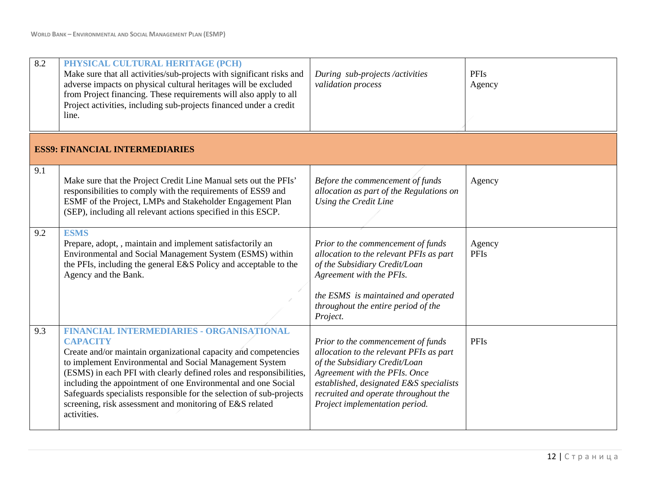| 8.2 | PHYSICAL CULTURAL HERITAGE (PCH)<br>Make sure that all activities/sub-projects with significant risks and<br>adverse impacts on physical cultural heritages will be excluded<br>from Project financing. These requirements will also apply to all<br>Project activities, including sub-projects financed under a credit<br>line.                                                                                                                                                             | During sub-projects/activities<br>validation process                                                                                                                                                                                                                 | PFIs<br>Agency        |
|-----|----------------------------------------------------------------------------------------------------------------------------------------------------------------------------------------------------------------------------------------------------------------------------------------------------------------------------------------------------------------------------------------------------------------------------------------------------------------------------------------------|----------------------------------------------------------------------------------------------------------------------------------------------------------------------------------------------------------------------------------------------------------------------|-----------------------|
|     | <b>ESS9: FINANCIAL INTERMEDIARIES</b>                                                                                                                                                                                                                                                                                                                                                                                                                                                        |                                                                                                                                                                                                                                                                      |                       |
| 9.1 | Make sure that the Project Credit Line Manual sets out the PFIs'<br>responsibilities to comply with the requirements of ESS9 and<br>ESMF of the Project, LMPs and Stakeholder Engagement Plan<br>(SEP), including all relevant actions specified in this ESCP.                                                                                                                                                                                                                               | Before the commencement of funds<br>allocation as part of the Regulations on<br>Using the Credit Line                                                                                                                                                                | Agency                |
| 9.2 | <b>ESMS</b><br>Prepare, adopt, , maintain and implement satisfactorily an<br>Environmental and Social Management System (ESMS) within<br>the PFIs, including the general E&S Policy and acceptable to the<br>Agency and the Bank.                                                                                                                                                                                                                                                            | Prior to the commencement of funds<br>allocation to the relevant PFIs as part<br>of the Subsidiary Credit/Loan<br>Agreement with the PFIs.<br>the ESMS is maintained and operated<br>throughout the entire period of the<br>Project.                                 | Agency<br><b>PFIs</b> |
| 9.3 | <b>FINANCIAL INTERMEDIARIES - ORGANISATIONAL</b><br><b>CAPACITY</b><br>Create and/or maintain organizational capacity and competencies<br>to implement Environmental and Social Management System<br>(ESMS) in each PFI with clearly defined roles and responsibilities,<br>including the appointment of one Environmental and one Social<br>Safeguards specialists responsible for the selection of sub-projects<br>screening, risk assessment and monitoring of E&S related<br>activities. | Prior to the commencement of funds<br>allocation to the relevant PFIs as part<br>of the Subsidiary Credit/Loan<br>Agreement with the PFIs. Once<br>established, designated E&S specialists<br>recruited and operate throughout the<br>Project implementation period. | <b>PFIs</b>           |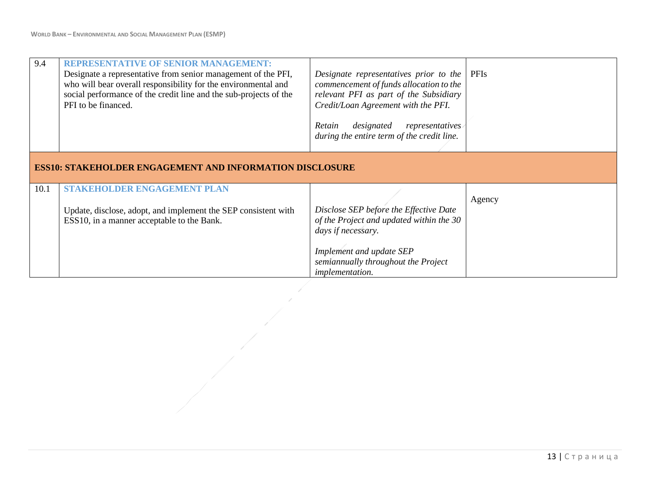| 9.4  | <b>REPRESENTATIVE OF SENIOR MANAGEMENT:</b><br>Designate a representative from senior management of the PFI,<br>who will bear overall responsibility for the environmental and<br>social performance of the credit line and the sub-projects of the<br>PFI to be financed. | Designate representatives prior to the<br>commencement of funds allocation to the<br>relevant PFI as part of the Subsidiary<br>Credit/Loan Agreement with the PFI.<br>designated<br>representatives<br>Retain<br>during the entire term of the credit line. | PFIs   |  |  |  |
|------|----------------------------------------------------------------------------------------------------------------------------------------------------------------------------------------------------------------------------------------------------------------------------|-------------------------------------------------------------------------------------------------------------------------------------------------------------------------------------------------------------------------------------------------------------|--------|--|--|--|
|      | <b>ESS10: STAKEHOLDER ENGAGEMENT AND INFORMATION DISCLOSURE</b>                                                                                                                                                                                                            |                                                                                                                                                                                                                                                             |        |  |  |  |
| 10.1 | <b>STAKEHOLDER ENGAGEMENT PLAN</b><br>Update, disclose, adopt, and implement the SEP consistent with<br>ESS10, in a manner acceptable to the Bank.                                                                                                                         | Disclose SEP before the Effective Date<br>of the Project and updated within the 30<br>days if necessary.<br>Implement and update SEP<br>semiannually throughout the Project<br>implementation.                                                              | Agency |  |  |  |